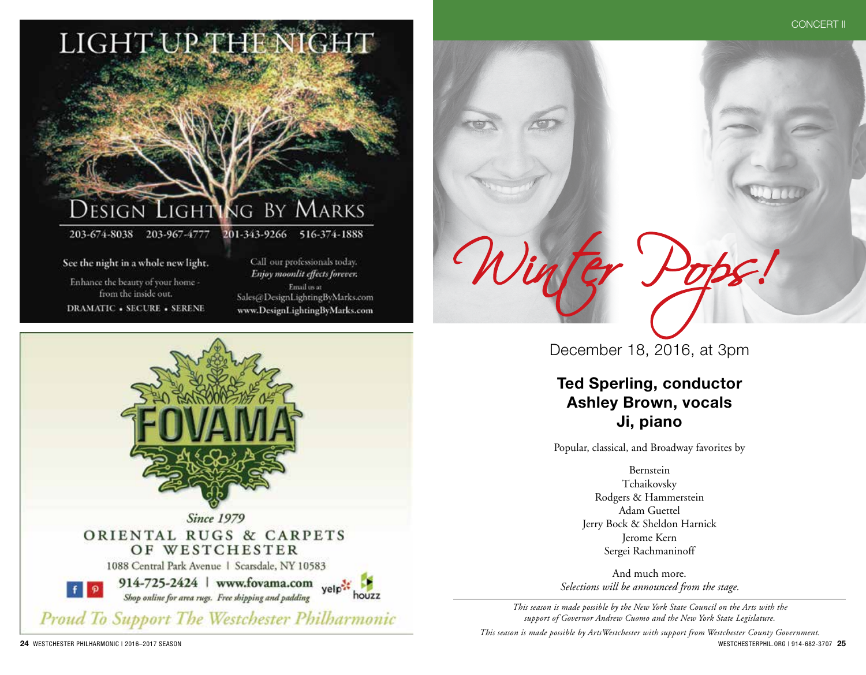

See the night in a whole new light.

Enhance the beauty of your home from the inside out. **DRAMATIC - SECURE - SERENE** 

Call our professionals today. Enjoy moonlit effects forever. Email us at Sales@DesignLightingByMarks.com www.DesignLightingByMarks.com



December 18, 2016, at 3pm

Winter Pops!

CONCERT II

**Ted Sperling, conductor Ashley Brown, vocals Ji, piano**

Popular, classical, and Broadway favorites by

Bernstein Tchaikovsky Rodgers & Hammerstein Adam Guettel Jerry Bock & Sheldon Harnick Jerome Kern Sergei Rachmaninoff

And much more. *Selections will be announced from the stage.*

*This season is made possible by the New York State Council on the Arts with the support of Governor Andrew Cuomo and the New York State Legislature.*

**24** WESTCHESTER PHILHARMONIC | 2016–2017 SEASON WESTCHESTERPHIL.ORG | 914-682-3707 **25** *This season is made possible by ArtsWestchester with support from Westchester County Government.*